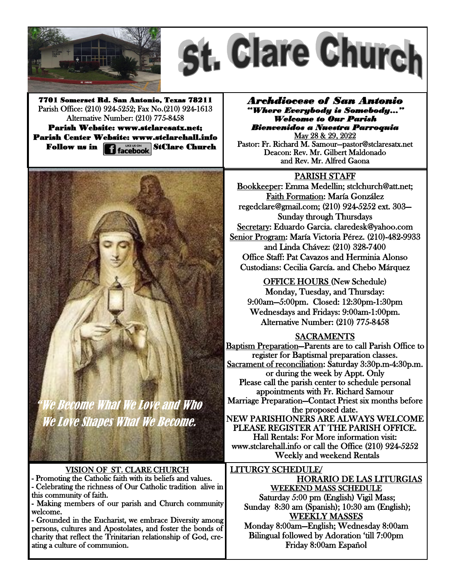



7701 Somerset Rd. San Antonio, Texas 78211 Parish Office: (210) 924-5252; Fax No.(210) 924-1613 Alternative Number: (210) 775-8458 Parish Website: www.stclaresatx.net; Parish Center Website: www.stclarehall.info Follow us in **1 Hacebook** StClare Church

*Archdiocese of San Antonio "Where Everybody is Somebody…" Welcome to Our Parish Bienvenidos a Nuestra Parroquia*  May 28 & 29, 2022

Pastor: Fr. Richard M. Samour—pastor@stclaresatx.net Deacon: Rev. Mr. Gilbert Maldonado and Rev. Mr. Alfred Gaona

## PARISH STAFF

Bookkeeper: Emma Medellin; stclchurch@att.net; Faith Formation: María González regedclare@gmail.com; (210) 924-5252 ext. 303— Sunday through Thursdays Secretary: Eduardo Garcia. claredesk@yahoo.com Senior Program: María Victoria Pérez. (210)-482-9933 and Linda Chávez: (210) 328-7400 Office Staff: Pat Cavazos and Herminia Alonso Custodians: Cecilia García. and Chebo Márquez

OFFICE HOURS (New Schedule) Monday, Tuesday, and Thursday: 9:00am—5:00pm. Closed: 12:30pm-1:30pm Wednesdays and Fridays: 9:00am-1:00pm. Alternative Number: (210) 775-8458

## SACRAMENTS

Baptism Preparation—Parents are to call Parish Office to register for Baptismal preparation classes. Sacrament of reconciliation: Saturday 3:30p.m-4:30p.m. or during the week by Appt. Only Please call the parish center to schedule personal appointments with Fr. Richard Samour Marriage Preparation—Contact Priest six months before the proposed date. NEW PARISHIONERS ARE ALWAYS WELCOME PLEASE REGISTER AT THE PARISH OFFICE. Hall Rentals: For More information visit: www.stclarehall.info or call the Office (210) 924-5252 Weekly and weekend Rentals

LITURGY SCHEDULE/ HORARIO DE LAS LITURGIAS WEEKEND MASS SCHEDULE Saturday 5:00 pm (English) Vigil Mass; Sunday 8:30 am (Spanish); 10:30 am (English); WEEKLY MASSES Monday 8:00am—English; Wednesday 8:00am Bilingual followed by Adoration 'till 7:00pm

Friday 8:00am Español



Ve Become What We Love and Who We Love Shapes What We Become.

VISION OF ST. CLARE CHURCH - Promoting the Catholic faith with its beliefs and values.

- Celebrating the richness of Our Catholic tradition alive in this community of faith.

- Making members of our parish and Church community welcome.

- Grounded in the Eucharist, we embrace Diversity among persons, cultures and Apostolates, and foster the bonds of charity that reflect the Trinitarian relationship of God, creating a culture of communion.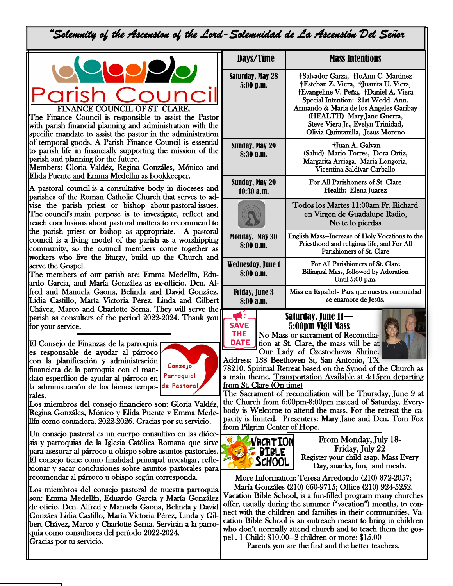"*Solemnity of the Ascension of the Lord-Solemnidad de La Ascensión Del Señor* 



The Finance Council is responsible to assist the Pastor with parish financial planning and administration with the specific mandate to assist the pastor in the administration of temporal goods. A Parish Finance Council is essential to parish life in financially supporting the mission of the parish and planning for the future.

Members: Gloria Valdéz, Regina Gonzáles, Mónico and Elida Puente and Emma Medellin as bookkeeper.

A pastoral council is a consultative body in dioceses and parishes of the Roman Catholic Church that serves to advise the parish priest or bishop about pastoral issues. The council's main purpose is to investigate, reflect and reach conclusions about pastoral matters to recommend to the parish priest or bishop as appropriate. A pastoral council is a living model of the parish as a worshipping community, so the council members come together as workers who live the liturgy, build up the Church and serve the Gospel.

The members of our parish are: Emma Medellín, Eduardo Garcia, and María González as ex-officio. Dcn. Alfred and Manuela Gaona, Belinda and David Gonzáez, Lidia Castillo, María Victoria Pérez, Linda and Gilbert Chávez, Marco and Charlotte Serna. They will serve the parish as consulters of the period 2022-2024. Thank you for your service.

El Consejo de Finanzas de la parroquia es responsable de ayudar al párroco con la planificación y administración financiera de la parroquia con el mandato específico de ayudar al párroco en la administración de los bienes temporales.



Los miembros del consejo financiero son: Gloria Valdéz, Regina Gonzáles, Mónico y Elida Puente y Emma Medellín como contadora. 2022-2026. Gracias por su servicio.

Un consejo pastoral es un cuerpo consultivo en las diócesis y parroquias de la Iglesia Católica Romana que sirve para asesorar al párroco u obispo sobre asuntos pastorales. El consejo tiene como finalidad principal investigar, reflexionar y sacar conclusiones sobre asuntos pastorales para recomendar al párroco u obispo según corresponda.

Los miembros del consejo pastoral de nuestra parroquia son: Emma Medellín, Eduardo García y María González de oficio. Dcn. Alfred y Manuela Gaona, Belinda y David Gonzáes Lidia Castillo, María Victoria Pérez, Linda y Gilbert Chávez, Marco y Charlotte Serna. Servirán a la parroquia como consultores del período 2022-2024. Gracias por tu servicio.

| Days/Time                            | <b>Mass Intentions</b>                                                                                                                                                                                                                                                                                       |  |
|--------------------------------------|--------------------------------------------------------------------------------------------------------------------------------------------------------------------------------------------------------------------------------------------------------------------------------------------------------------|--|
| <b>Saturday, May 28</b><br>5:00 p.m. | †Salvador Garza, †JoAnn C. Martinez<br>†Esteban Z. Viera, †Juanita U. Viera,<br>†Evangeline V. Peña, †Daniel A. Viera<br>Special Intention: 21st Wedd. Ann.<br>Armando & Maria de los Angeles Garibay<br>(HEALTH) Mary Jane Guerra,<br>Steve Viera Jr., Evelyn Trinidad,<br>Olivia Quintanilla, Jesus Moreno |  |
| <b>Sunday, May 29</b><br>8:30a.m.    | †Juan A. Galvan<br>(Salud) Mario Torres, Dora Ortiz,<br>Margarita Arriaga, Maria Longoria,<br>Vicentina Saldívar Carballo                                                                                                                                                                                    |  |
| Sunday, May 29<br>$10:30$ a.m.       | For All Parishoners of St. Clare<br>Health: Elena Juarez                                                                                                                                                                                                                                                     |  |
|                                      | Todos los Martes 11:00am Fr. Richard<br>en Virgen de Guadalupe Radio,<br>No te lo pierdas                                                                                                                                                                                                                    |  |
| <b>Monday, May 30</b><br>8:00a.m.    | English Mass-Increase of Holy Vocations to the<br>Priesthood and religious life, and For All<br>Parishioners of St. Clare                                                                                                                                                                                    |  |
| Wednesday, June 1<br>8:00 a.m.       | For All Parishioners of St. Clare<br>Bilingual Mass, followed by Adoration<br>Until 5:00 p.m.                                                                                                                                                                                                                |  |
| <b>Friday, June 3</b><br>8:00a.m.    | Misa en Español- Para que nuestra comunidad<br>se enamore de Jesús.                                                                                                                                                                                                                                          |  |
|                                      | Saturday, June 11—                                                                                                                                                                                                                                                                                           |  |



**THE** No Mass or sacrament of Reconcilia-**DATE** tion at St. Clare, the mass will be at Our Lady of Czestochowa Shrine.



Address: 138 Beethoven St, San Antonio, TX 78210. Spiritual Retreat based on the Synod of the Church as a main theme. Transportation Available at 4:15pm departing from St. Clare (On time)

5:00pm Vigil Mass

The Sacrament of reconciliation will be Thursday, June 9 at the Church from 6:00pm-8:00pm instead of Saturday. Everybody is Welcome to attend the mass. For the retreat the capacity is limited. Presenters: Mary Jane and Dcn. Tom Fox from Pilgrim Center of Hope.



֚֬֕ From Monday, July 18- Friday, July 22 Register your child asap. Mass Every Day, snacks, fun, and meals.

More Information: Teresa Arredondo (210) 872-2057; María Gonzáles (210) 660-9715; Office (210) 924-5252. Vacation Bible School, is a fun-filled program many churches offer, usually during the summer ("vacation") months, to connect with the children and families in their communities. Vacation Bible School is an outreach meant to bring in children who don't normally attend church and to teach them the gospel . 1 Child: \$10.00—2 children or more: \$15.00

Parents you are the first and the better teachers.